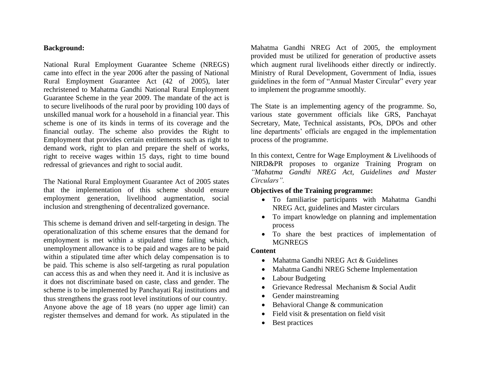#### **Background:**

National Rural Employment Guarantee Scheme (NREGS) came into effect in the year 2006 after the passing of National Rural Employment Guarantee Act (42 of 2005), later rechristened to Mahatma Gandhi National Rural Employment Guarantee Scheme in the year 2009. The mandate of the act is to secure livelihoods of the rural poor by providing 100 days of unskilled manual work for a household in a financial year. This scheme is one of its kinds in terms of its coverage and the financial outlay. The scheme also provides the Right to Employment that provides certain entitlements such as right to demand work, right to plan and prepare the shelf of works, right to receive wages within 15 days, right to time bound redressal of grievances and right to social audit.

The National Rural Employment Guarantee Act of 2005 states that the implementation of this scheme should ensure employment generation, livelihood augmentation, social inclusion and strengthening of decentralized governance.

This scheme is demand driven and self-targeting in design. The operationalization of this scheme ensures that the demand for employment is met within a stipulated time failing which, unemployment allowance is to be paid and wages are to be paid within a stipulated time after which delay compensation is to be paid. This scheme is also self-targeting as rural population can access this as and when they need it. And it is inclusive as it does not discriminate based on caste, class and gender. The scheme is to be implemented by Panchayati Raj institutions and thus strengthens the grass root level institutions of our country. Anyone above the age of 18 years (no upper age limit) can register themselves and demand for work. As stipulated in the Mahatma Gandhi NREG Act of 2005, the employment provided must be utilized for generation of productive assets which augment rural livelihoods either directly or indirectly. Ministry of Rural Development, Government of India, issues guidelines in the form of "Annual Master Circular" every year to implement the programme smoothly.

The State is an implementing agency of the programme. So, various state government officials like GRS, Panchayat Secretary, Mate, Technical assistants, POs, DPOs and other line departments' officials are engaged in the implementation process of the programme.

In this context, Centre for Wage Employment & Livelihoods of NIRD&PR proposes to organize Training Program on *"Mahatma Gandhi NREG Act, Guidelines and Master Circulars".*

## **Objectives of the Training programme:**

- To familiarise participants with Mahatma Gandhi NREG Act, guidelines and Master circulars
- To impart knowledge on planning and implementation process
- To share the best practices of implementation of **MGNREGS**

#### **Content**

- Mahatma Gandhi NREG Act & Guidelines
- Mahatma Gandhi NREG Scheme Implementation
- Labour Budgeting
- Grievance Redressal Mechanism & Social Audit
- Gender mainstreaming
- Behavioral Change & communication
- Field visit & presentation on field visit
- Best practices